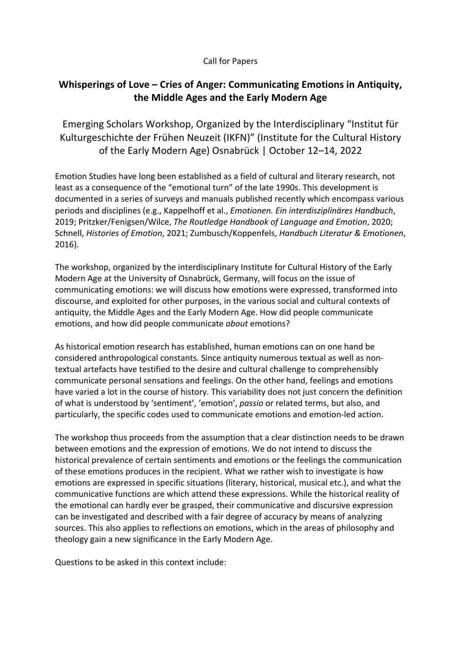## Call for Papers

## **Whisperings of Love – Cries of Anger: Communicating Emotions in Antiquity, the Middle Ages and the Early Modern Age**

Emerging Scholars Workshop, Organized by the Interdisciplinary "Institut für Kulturgeschichte der Frühen Neuzeit (IKFN)" (Institute for the Cultural History of the Early Modern Age) Osnabrück | October 12–14, 2022

Emotion Studies have long been established as a field of cultural and literary research, not least as a consequence of the "emotional turn" of the late 1990s. This development is documented in a series of surveys and manuals published recently which encompass various periods and disciplines (e.g., Kappelhoff et al., *Emotionen. Ein interdisziplinäres Handbuch*, 2019; Pritzker/Fenigsen/Wilce, *The Routledge Handbook of Language and Emotion*, 2020; Schnell, *Histories of Emotion*, 2021; Zumbusch/Koppenfels, *Handbuch Literatur & Emotionen*, 2016).

The workshop, organized by the interdisciplinary Institute for Cultural History of the Early Modern Age at the University of Osnabrück, Germany, will focus on the issue of communicating emotions: we will discuss how emotions were expressed, transformed into discourse, and exploited for other purposes, in the various social and cultural contexts of antiquity, the Middle Ages and the Early Modern Age. How did people communicate emotions, and how did people communicate *about* emotions?

As historical emotion research has established, human emotions can on one hand be considered anthropological constants. Since antiquity numerous textual as well as nontextual artefacts have testified to the desire and cultural challenge to comprehensibly communicate personal sensations and feelings. On the other hand, feelings and emotions have varied a lot in the course of history. This variability does not just concern the definition of what is understood by 'sentiment', 'emotion', *passio* or related terms, but also, and particularly, the specific codes used to communicate emotions and emotion-led action.

The workshop thus proceeds from the assumption that a clear distinction needs to be drawn between emotions and the expression of emotions. We do not intend to discuss the historical prevalence of certain sentiments and emotions or the feelings the communication of these emotions produces in the recipient. What we rather wish to investigate is how emotions are expressed in specific situations (literary, historical, musical etc.), and what the communicative functions are which attend these expressions. While the historical reality of the emotional can hardly ever be grasped, their communicative and discursive expression can be investigated and described with a fair degree of accuracy by means of analyzing sources. This also applies to reflections on emotions, which in the areas of philosophy and theology gain a new significance in the Early Modern Age.

Questions to be asked in this context include: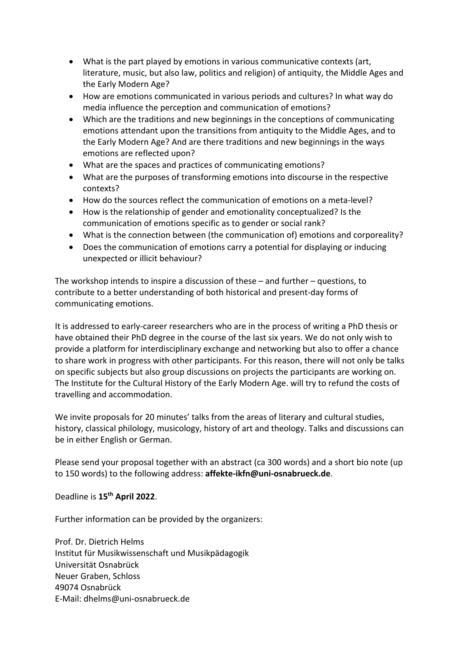- What is the part played by emotions in various communicative contexts (art, literature, music, but also law, politics and religion) of antiquity, the Middle Ages and the Early Modern Age?
- How are emotions communicated in various periods and cultures? In what way do media influence the perception and communication of emotions?
- Which are the traditions and new beginnings in the conceptions of communicating emotions attendant upon the transitions from antiquity to the Middle Ages, and to the Early Modern Age? And are there traditions and new beginnings in the ways emotions are reflected upon?
- What are the spaces and practices of communicating emotions?
- What are the purposes of transforming emotions into discourse in the respective contexts?
- How do the sources reflect the communication of emotions on a meta-level?
- How is the relationship of gender and emotionality conceptualized? Is the communication of emotions specific as to gender or social rank?
- What is the connection between (the communication of) emotions and corporeality?
- Does the communication of emotions carry a potential for displaying or inducing unexpected or illicit behaviour?

The workshop intends to inspire a discussion of these – and further – questions, to contribute to a better understanding of both historical and present-day forms of communicating emotions.

It is addressed to early-career researchers who are in the process of writing a PhD thesis or have obtained their PhD degree in the course of the last six years. We do not only wish to provide a platform for interdisciplinary exchange and networking but also to offer a chance to share work in progress with other participants. For this reason, there will not only be talks on specific subjects but also group discussions on projects the participants are working on. The Institute for the Cultural History of the Early Modern Age. will try to refund the costs of travelling and accommodation.

We invite proposals for 20 minutes' talks from the areas of literary and cultural studies, history, classical philology, musicology, history of art and theology. Talks and discussions can be in either English or German.

Please send your proposal together with an abstract (ca 300 words) and a short bio note (up to 150 words) to the following address: **affekte-ikfn@uni-osnabrueck.de**.

## Deadline is **15th April 2022**.

Further information can be provided by the organizers:

Prof. Dr. Dietrich Helms Institut für Musikwissenschaft und Musikpädagogik Universität Osnabrück Neuer Graben, Schloss 49074 Osnabrück E-Mail: dhelms@uni-osnabrueck.de